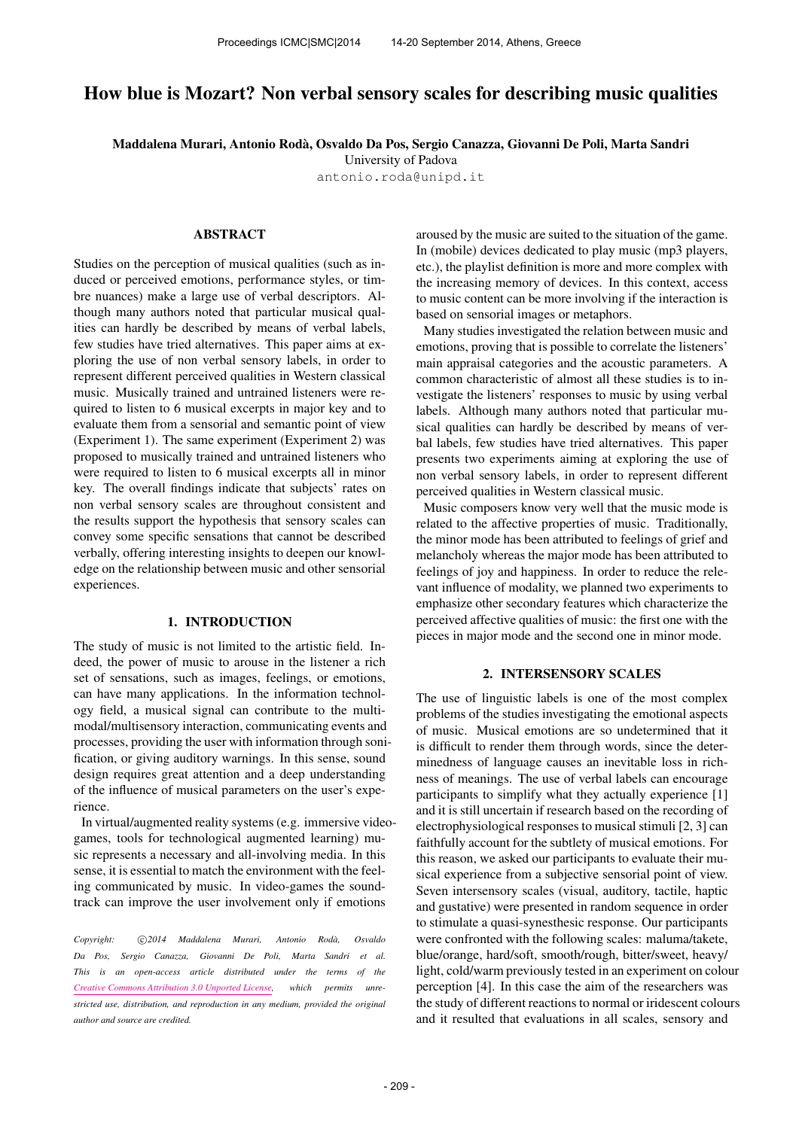# How blue is Mozart? Non verbal sensory scales for describing music qualities

Maddalena Murari, Antonio Roda, Osvaldo Da Pos, Sergio Canazza, Giovanni De Poli, Marta Sandri `

University of Padova [antonio.roda@unipd.it](mailto:antonio.roda@unipd.it)

### ABSTRACT

Studies on the perception of musical qualities (such as induced or perceived emotions, performance styles, or timbre nuances) make a large use of verbal descriptors. Although many authors noted that particular musical qualities can hardly be described by means of verbal labels, few studies have tried alternatives. This paper aims at exploring the use of non verbal sensory labels, in order to represent different perceived qualities in Western classical music. Musically trained and untrained listeners were required to listen to 6 musical excerpts in major key and to evaluate them from a sensorial and semantic point of view (Experiment 1). The same experiment (Experiment 2) was proposed to musically trained and untrained listeners who were required to listen to 6 musical excerpts all in minor key. The overall findings indicate that subjects' rates on non verbal sensory scales are throughout consistent and the results support the hypothesis that sensory scales can convey some specific sensations that cannot be described verbally, offering interesting insights to deepen our knowledge on the relationship between music and other sensorial experiences.

### 1. INTRODUCTION

The study of music is not limited to the artistic field. Indeed, the power of music to arouse in the listener a rich set of sensations, such as images, feelings, or emotions, can have many applications. In the information technology field, a musical signal can contribute to the multimodal/multisensory interaction, communicating events and processes, providing the user with information through sonification, or giving auditory warnings. In this sense, sound design requires great attention and a deep understanding of the influence of musical parameters on the user's experience.

In virtual/augmented reality systems (e.g. immersive videogames, tools for technological augmented learning) music represents a necessary and all-involving media. In this sense, it is essential to match the environment with the feeling communicated by music. In video-games the soundtrack can improve the user involvement only if emotions

Copyright:  $\binom{c}{2014}$  Maddalena Murari, Antonio Rodà, Osvaldo *Da Pos, Sergio Canazza, Giovanni De Poli, Marta Sandri et al. This is an open-access article distributed under the terms of the [Creative Commons Attribution 3.0 Unported License,](http://creativecommons.org/licenses/by/3.0/) which permits unrestricted use, distribution, and reproduction in any medium, provided the original author and source are credited.*

aroused by the music are suited to the situation of the game. In (mobile) devices dedicated to play music (mp3 players, etc.), the playlist definition is more and more complex with the increasing memory of devices. In this context, access to music content can be more involving if the interaction is based on sensorial images or metaphors.

Many studies investigated the relation between music and emotions, proving that is possible to correlate the listeners' main appraisal categories and the acoustic parameters. A common characteristic of almost all these studies is to investigate the listeners' responses to music by using verbal labels. Although many authors noted that particular musical qualities can hardly be described by means of verbal labels, few studies have tried alternatives. This paper presents two experiments aiming at exploring the use of non verbal sensory labels, in order to represent different perceived qualities in Western classical music.

Music composers know very well that the music mode is related to the affective properties of music. Traditionally, the minor mode has been attributed to feelings of grief and melancholy whereas the major mode has been attributed to feelings of joy and happiness. In order to reduce the relevant influence of modality, we planned two experiments to emphasize other secondary features which characterize the perceived affective qualities of music: the first one with the pieces in major mode and the second one in minor mode.

### 2. INTERSENSORY SCALES

The use of linguistic labels is one of the most complex problems of the studies investigating the emotional aspects of music. Musical emotions are so undetermined that it is difficult to render them through words, since the determinedness of language causes an inevitable loss in richness of meanings. The use of verbal labels can encourage participants to simplify what they actually experience [1] and it is still uncertain if research based on the recording of electrophysiological responses to musical stimuli [2, 3] can faithfully account for the subtlety of musical emotions. For this reason, we asked our participants to evaluate their musical experience from a subjective sensorial point of view. Seven intersensory scales (visual, auditory, tactile, haptic and gustative) were presented in random sequence in order to stimulate a quasi-synesthesic response. Our participants were confronted with the following scales: maluma/takete, blue/orange, hard/soft, smooth/rough, bitter/sweet, heavy/ light, cold/warm previously tested in an experiment on colour perception [4]. In this case the aim of the researchers was the study of different reactions to normal or iridescent colours and it resulted that evaluations in all scales, sensory and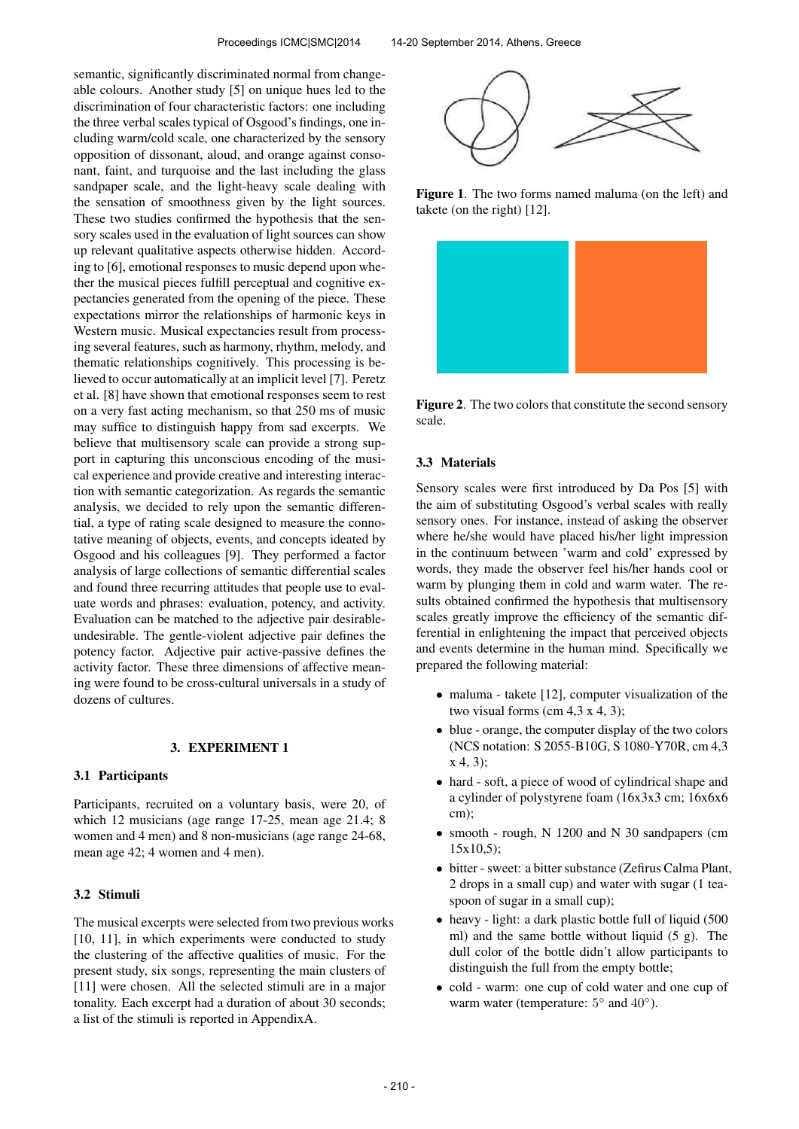semantic, significantly discriminated normal from changeable colours. Another study [5] on unique hues led to the discrimination of four characteristic factors: one including the three verbal scales typical of Osgood's findings, one including warm/cold scale, one characterized by the sensory opposition of dissonant, aloud, and orange against consonant, faint, and turquoise and the last including the glass sandpaper scale, and the light-heavy scale dealing with the sensation of smoothness given by the light sources. These two studies confirmed the hypothesis that the sensory scales used in the evaluation of light sources can show up relevant qualitative aspects otherwise hidden. According to [6], emotional responses to music depend upon whether the musical pieces fulfill perceptual and cognitive expectancies generated from the opening of the piece. These expectations mirror the relationships of harmonic keys in Western music. Musical expectancies result from processing several features, such as harmony, rhythm, melody, and thematic relationships cognitively. This processing is believed to occur automatically at an implicit level [7]. Peretz et al. [8] have shown that emotional responses seem to rest on a very fast acting mechanism, so that 250 ms of music may suffice to distinguish happy from sad excerpts. We believe that multisensory scale can provide a strong support in capturing this unconscious encoding of the musical experience and provide creative and interesting interaction with semantic categorization. As regards the semantic analysis, we decided to rely upon the semantic differential, a type of rating scale designed to measure the connotative meaning of objects, events, and concepts ideated by Osgood and his colleagues [9]. They performed a factor analysis of large collections of semantic differential scales and found three recurring attitudes that people use to evaluate words and phrases: evaluation, potency, and activity. Evaluation can be matched to the adjective pair desirableundesirable. The gentle-violent adjective pair defines the potency factor. Adjective pair active-passive defines the activity factor. These three dimensions of affective meaning were found to be cross-cultural universals in a study of dozens of cultures.

#### 3. EXPERIMENT 1

#### 3.1 Participants

Participants, recruited on a voluntary basis, were 20, of which 12 musicians (age range 17-25, mean age 21.4; 8 women and 4 men) and 8 non-musicians (age range 24-68, mean age 42; 4 women and 4 men).

### 3.2 Stimuli

The musical excerpts were selected from two previous works [10, 11], in which experiments were conducted to study the clustering of the affective qualities of music. For the present study, six songs, representing the main clusters of [11] were chosen. All the selected stimuli are in a major tonality. Each excerpt had a duration of about 30 seconds; a list of the stimuli is reported in AppendixA.



Figure 1. The two forms named maluma (on the left) and takete (on the right) [12].



Figure 2. The two colors that constitute the second sensory scale.

### 3.3 Materials

Sensory scales were first introduced by Da Pos [5] with the aim of substituting Osgood's verbal scales with really sensory ones. For instance, instead of asking the observer where he/she would have placed his/her light impression in the continuum between 'warm and cold' expressed by words, they made the observer feel his/her hands cool or warm by plunging them in cold and warm water. The results obtained confirmed the hypothesis that multisensory scales greatly improve the efficiency of the semantic differential in enlightening the impact that perceived objects and events determine in the human mind. Specifically we prepared the following material:

- maluma takete [12], computer visualization of the two visual forms (cm  $4,3 \times 4, 3$ );
- blue orange, the computer display of the two colors (NCS notation: S 2055-B10G, S 1080-Y70R, cm 4,3 x 4, 3);
- hard soft, a piece of wood of cylindrical shape and a cylinder of polystyrene foam (16x3x3 cm; 16x6x6 cm);
- smooth rough, N 1200 and N 30 sandpapers (cm  $15x10,5$ ;
- bitter sweet: a bitter substance (Zefirus Calma Plant, 2 drops in a small cup) and water with sugar (1 teaspoon of sugar in a small cup);
- heavy light: a dark plastic bottle full of liquid (500) ml) and the same bottle without liquid (5 g). The dull color of the bottle didn't allow participants to distinguish the full from the empty bottle;
- cold warm: one cup of cold water and one cup of warm water (temperature:  $5^{\circ}$  and  $40^{\circ}$ ).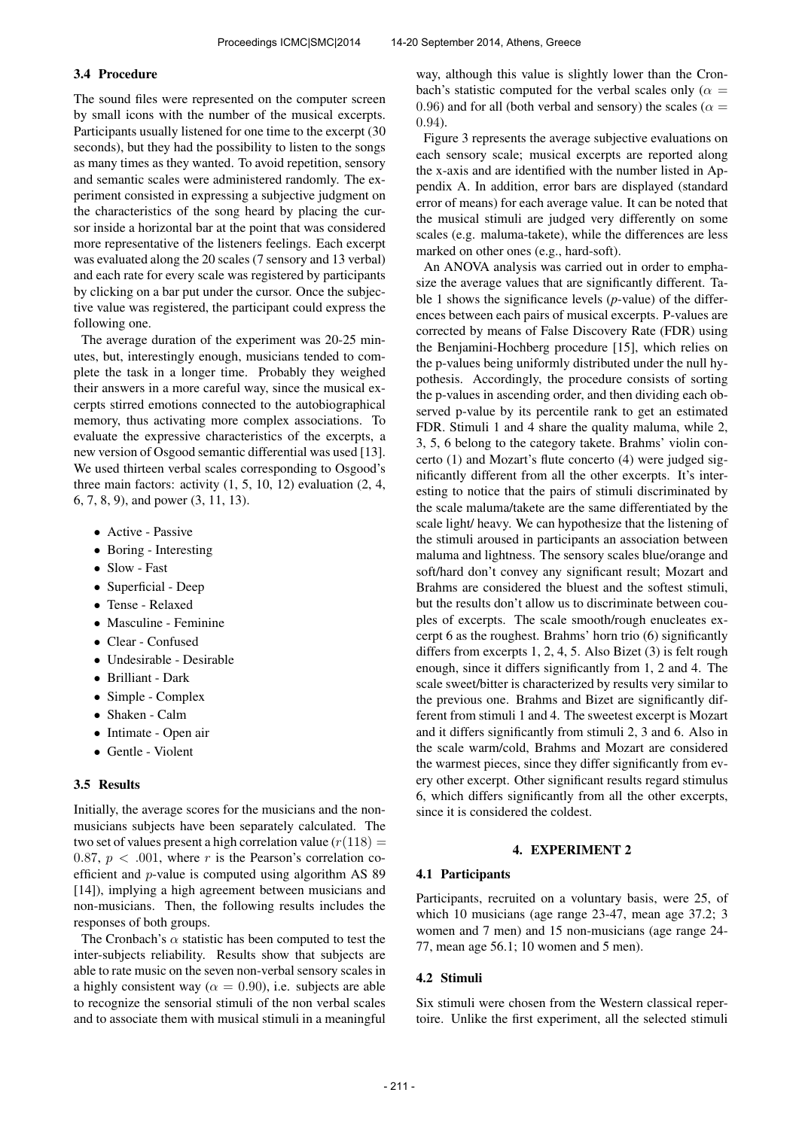#### 3.4 Procedure

The sound files were represented on the computer screen by small icons with the number of the musical excerpts. Participants usually listened for one time to the excerpt (30 seconds), but they had the possibility to listen to the songs as many times as they wanted. To avoid repetition, sensory and semantic scales were administered randomly. The experiment consisted in expressing a subjective judgment on the characteristics of the song heard by placing the cursor inside a horizontal bar at the point that was considered more representative of the listeners feelings. Each excerpt was evaluated along the 20 scales (7 sensory and 13 verbal) and each rate for every scale was registered by participants by clicking on a bar put under the cursor. Once the subjective value was registered, the participant could express the following one.

The average duration of the experiment was 20-25 minutes, but, interestingly enough, musicians tended to complete the task in a longer time. Probably they weighed their answers in a more careful way, since the musical excerpts stirred emotions connected to the autobiographical memory, thus activating more complex associations. To evaluate the expressive characteristics of the excerpts, a new version of Osgood semantic differential was used [13]. We used thirteen verbal scales corresponding to Osgood's three main factors: activity  $(1, 5, 10, 12)$  evaluation  $(2, 4, 12)$ 6, 7, 8, 9), and power (3, 11, 13).

- Active Passive
- Boring Interesting
- Slow Fast
- Superficial Deep
- Tense Relaxed
- Masculine Feminine
- Clear Confused
- Undesirable Desirable
- Brilliant Dark
- Simple Complex
- Shaken Calm
- Intimate Open air
- Gentle Violent

### 3.5 Results

Initially, the average scores for the musicians and the nonmusicians subjects have been separately calculated. The two set of values present a high correlation value  $(r(118)) =$ 0.87,  $p < .001$ , where r is the Pearson's correlation coefficient and p-value is computed using algorithm AS 89 [14]), implying a high agreement between musicians and non-musicians. Then, the following results includes the responses of both groups.

The Cronbach's  $\alpha$  statistic has been computed to test the inter-subjects reliability. Results show that subjects are able to rate music on the seven non-verbal sensory scales in a highly consistent way ( $\alpha = 0.90$ ), i.e. subjects are able to recognize the sensorial stimuli of the non verbal scales and to associate them with musical stimuli in a meaningful way, although this value is slightly lower than the Cronbach's statistic computed for the verbal scales only ( $\alpha$  = 0.96) and for all (both verbal and sensory) the scales ( $\alpha$  = 0.94).

Figure 3 represents the average subjective evaluations on each sensory scale; musical excerpts are reported along the x-axis and are identified with the number listed in Appendix A. In addition, error bars are displayed (standard error of means) for each average value. It can be noted that the musical stimuli are judged very differently on some scales (e.g. maluma-takete), while the differences are less marked on other ones (e.g., hard-soft).

An ANOVA analysis was carried out in order to emphasize the average values that are significantly different. Table 1 shows the significance levels (*p*-value) of the differences between each pairs of musical excerpts. P-values are corrected by means of False Discovery Rate (FDR) using the Benjamini-Hochberg procedure [15], which relies on the p-values being uniformly distributed under the null hypothesis. Accordingly, the procedure consists of sorting the p-values in ascending order, and then dividing each observed p-value by its percentile rank to get an estimated FDR. Stimuli 1 and 4 share the quality maluma, while 2, 3, 5, 6 belong to the category takete. Brahms' violin concerto (1) and Mozart's flute concerto (4) were judged significantly different from all the other excerpts. It's interesting to notice that the pairs of stimuli discriminated by the scale maluma/takete are the same differentiated by the scale light/ heavy. We can hypothesize that the listening of the stimuli aroused in participants an association between maluma and lightness. The sensory scales blue/orange and soft/hard don't convey any significant result; Mozart and Brahms are considered the bluest and the softest stimuli, but the results don't allow us to discriminate between couples of excerpts. The scale smooth/rough enucleates excerpt 6 as the roughest. Brahms' horn trio (6) significantly differs from excerpts 1, 2, 4, 5. Also Bizet (3) is felt rough enough, since it differs significantly from 1, 2 and 4. The scale sweet/bitter is characterized by results very similar to the previous one. Brahms and Bizet are significantly different from stimuli 1 and 4. The sweetest excerpt is Mozart and it differs significantly from stimuli 2, 3 and 6. Also in the scale warm/cold, Brahms and Mozart are considered the warmest pieces, since they differ significantly from every other excerpt. Other significant results regard stimulus 6, which differs significantly from all the other excerpts, since it is considered the coldest.

#### 4. EXPERIMENT 2

#### 4.1 Participants

Participants, recruited on a voluntary basis, were 25, of which 10 musicians (age range 23-47, mean age 37.2; 3 women and 7 men) and 15 non-musicians (age range 24- 77, mean age 56.1; 10 women and 5 men).

### 4.2 Stimuli

Six stimuli were chosen from the Western classical repertoire. Unlike the first experiment, all the selected stimuli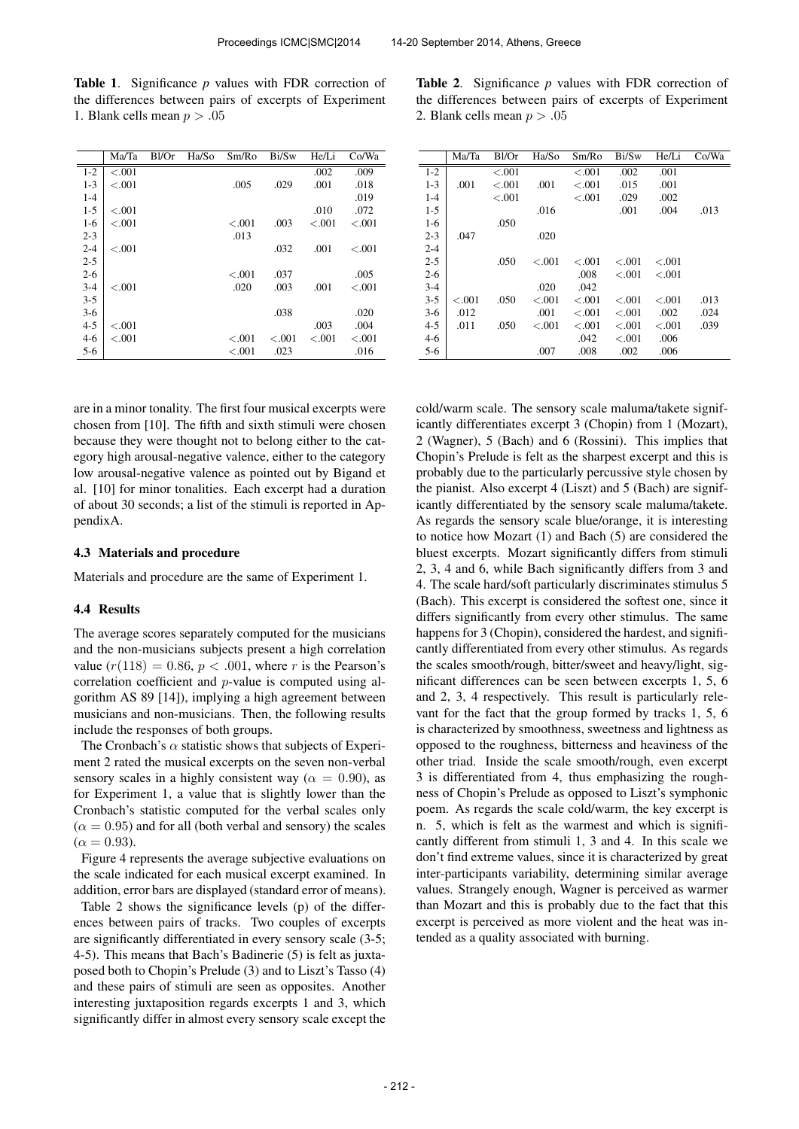Table 1. Significance *p* values with FDR correction of the differences between pairs of excerpts of Experiment 1. Blank cells mean  $p > .05$ 

|         | Ma/Ta   | $B$ l/Or | Ha/So | Sm/Ro   | Bi/Sw   | He/Li   | Co/Wa   |
|---------|---------|----------|-------|---------|---------|---------|---------|
| $1 - 2$ | < 0.001 |          |       |         |         | .002    | .009    |
| $1 - 3$ | < 0.001 |          |       | .005    | .029    | .001    | .018    |
| $1 - 4$ |         |          |       |         |         |         | .019    |
| $1 - 5$ | < 0.001 |          |       |         |         | .010    | .072    |
| $1-6$   | < 0.001 |          |       | $-.001$ | .003    | $-.001$ | $-.001$ |
| $2 - 3$ |         |          |       | .013    |         |         |         |
| $2 - 4$ | $-.001$ |          |       |         | .032    | .001    | $-.001$ |
| $2 - 5$ |         |          |       |         |         |         |         |
| $2 - 6$ |         |          |       | $-.001$ | .037    |         | .005    |
| $3-4$   | < 0.001 |          |       | .020    | .003    | .001    | $-.001$ |
| $3 - 5$ |         |          |       |         |         |         |         |
| $3-6$   |         |          |       |         | .038    |         | .020    |
| $4 - 5$ | < 0.001 |          |       |         |         | .003    | .004    |
| $4-6$   | < 0.001 |          |       | $-.001$ | $-.001$ | < 0.001 | $-.001$ |
| $5-6$   |         |          |       | $-.001$ | .023    |         | .016    |

are in a minor tonality. The first four musical excerpts were chosen from [10]. The fifth and sixth stimuli were chosen because they were thought not to belong either to the category high arousal-negative valence, either to the category low arousal-negative valence as pointed out by Bigand et al. [10] for minor tonalities. Each excerpt had a duration of about 30 seconds; a list of the stimuli is reported in AppendixA.

#### 4.3 Materials and procedure

Materials and procedure are the same of Experiment 1.

#### 4.4 Results

The average scores separately computed for the musicians and the non-musicians subjects present a high correlation value  $(r(118) = 0.86, p < .001$ , where r is the Pearson's correlation coefficient and p-value is computed using algorithm AS 89 [14]), implying a high agreement between musicians and non-musicians. Then, the following results include the responses of both groups.

The Cronbach's  $\alpha$  statistic shows that subjects of Experiment 2 rated the musical excerpts on the seven non-verbal sensory scales in a highly consistent way ( $\alpha = 0.90$ ), as for Experiment 1, a value that is slightly lower than the Cronbach's statistic computed for the verbal scales only  $(\alpha = 0.95)$  and for all (both verbal and sensory) the scales  $(\alpha = 0.93)$ .

Figure 4 represents the average subjective evaluations on the scale indicated for each musical excerpt examined. In addition, error bars are displayed (standard error of means).

Table 2 shows the significance levels (p) of the differences between pairs of tracks. Two couples of excerpts are significantly differentiated in every sensory scale (3-5; 4-5). This means that Bach's Badinerie (5) is felt as juxtaposed both to Chopin's Prelude (3) and to Liszt's Tasso (4) and these pairs of stimuli are seen as opposites. Another interesting juxtaposition regards excerpts 1 and 3, which significantly differ in almost every sensory scale except the

Table 2. Significance *p* values with FDR correction of the differences between pairs of excerpts of Experiment 2. Blank cells mean  $p > .05$ 

|         | Ma/Ta     | Bl/Or   | Ha/So     | Sm/Ro   | Bi/Sw   | He/Li   | Co/Wa |
|---------|-----------|---------|-----------|---------|---------|---------|-------|
| $1 - 2$ |           | $-.001$ |           | $-.001$ | .002    | .001    |       |
| $1 - 3$ | .001      | < 0.01  | .001      | $-.001$ | .015    | .001    |       |
| $1 - 4$ |           | $-.001$ |           | $-.001$ | .029    | .002    |       |
| $1-5$   |           |         | .016      |         | .001    | .004    | .013  |
| $1-6$   |           | .050    |           |         |         |         |       |
| $2 - 3$ | .047      |         | .020      |         |         |         |       |
| $2 - 4$ |           |         |           |         |         |         |       |
| $2 - 5$ |           | .050    | $-.001$   | < 0.001 | < 0.001 | < 0.001 |       |
| $2 - 6$ |           |         |           | .008    | < 0.01  | < 0.01  |       |
| $3 - 4$ |           |         | .020      | .042    |         |         |       |
| $3 - 5$ | ${<}.001$ | .050    | ${<}.001$ | $-.001$ | < 0.001 | < 0.001 | .013  |
| $3-6$   | .012      |         | .001      | $-.001$ | $-.001$ | .002    | .024  |
| $4 - 5$ | .011      | .050    | < 0.001   | $-.001$ | < 0.001 | < 0.001 | .039  |
| $4-6$   |           |         |           | .042    | < 0.01  | .006    |       |
| $5-6$   |           |         | .007      | .008    | .002    | .006    |       |

cold/warm scale. The sensory scale maluma/takete significantly differentiates excerpt 3 (Chopin) from 1 (Mozart), 2 (Wagner), 5 (Bach) and 6 (Rossini). This implies that Chopin's Prelude is felt as the sharpest excerpt and this is probably due to the particularly percussive style chosen by the pianist. Also excerpt 4 (Liszt) and 5 (Bach) are significantly differentiated by the sensory scale maluma/takete. As regards the sensory scale blue/orange, it is interesting to notice how Mozart (1) and Bach (5) are considered the bluest excerpts. Mozart significantly differs from stimuli 2, 3, 4 and 6, while Bach significantly differs from 3 and 4. The scale hard/soft particularly discriminates stimulus 5 (Bach). This excerpt is considered the softest one, since it differs significantly from every other stimulus. The same happens for 3 (Chopin), considered the hardest, and significantly differentiated from every other stimulus. As regards the scales smooth/rough, bitter/sweet and heavy/light, significant differences can be seen between excerpts 1, 5, 6 and 2, 3, 4 respectively. This result is particularly relevant for the fact that the group formed by tracks 1, 5, 6 is characterized by smoothness, sweetness and lightness as opposed to the roughness, bitterness and heaviness of the other triad. Inside the scale smooth/rough, even excerpt 3 is differentiated from 4, thus emphasizing the roughness of Chopin's Prelude as opposed to Liszt's symphonic poem. As regards the scale cold/warm, the key excerpt is n. 5, which is felt as the warmest and which is significantly different from stimuli 1, 3 and 4. In this scale we don't find extreme values, since it is characterized by great inter-participants variability, determining similar average values. Strangely enough, Wagner is perceived as warmer than Mozart and this is probably due to the fact that this excerpt is perceived as more violent and the heat was intended as a quality associated with burning.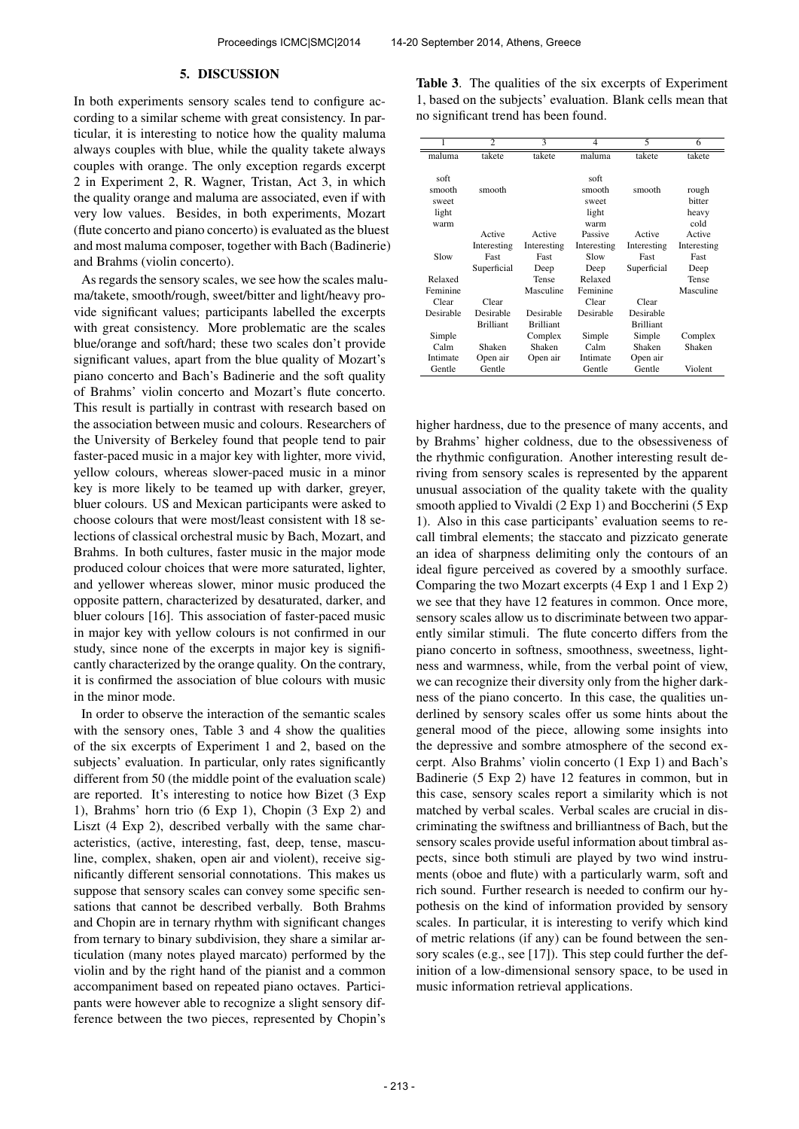#### 5. DISCUSSION

In both experiments sensory scales tend to configure according to a similar scheme with great consistency. In particular, it is interesting to notice how the quality maluma always couples with blue, while the quality takete always couples with orange. The only exception regards excerpt 2 in Experiment 2, R. Wagner, Tristan, Act 3, in which the quality orange and maluma are associated, even if with very low values. Besides, in both experiments, Mozart (flute concerto and piano concerto) is evaluated as the bluest and most maluma composer, together with Bach (Badinerie) and Brahms (violin concerto).

As regards the sensory scales, we see how the scales maluma/takete, smooth/rough, sweet/bitter and light/heavy provide significant values; participants labelled the excerpts with great consistency. More problematic are the scales blue/orange and soft/hard; these two scales don't provide significant values, apart from the blue quality of Mozart's piano concerto and Bach's Badinerie and the soft quality of Brahms' violin concerto and Mozart's flute concerto. This result is partially in contrast with research based on the association between music and colours. Researchers of the University of Berkeley found that people tend to pair faster-paced music in a major key with lighter, more vivid, yellow colours, whereas slower-paced music in a minor key is more likely to be teamed up with darker, greyer, bluer colours. US and Mexican participants were asked to choose colours that were most/least consistent with 18 selections of classical orchestral music by Bach, Mozart, and Brahms. In both cultures, faster music in the major mode produced colour choices that were more saturated, lighter, and yellower whereas slower, minor music produced the opposite pattern, characterized by desaturated, darker, and bluer colours [16]. This association of faster-paced music in major key with yellow colours is not confirmed in our study, since none of the excerpts in major key is significantly characterized by the orange quality. On the contrary, it is confirmed the association of blue colours with music in the minor mode.

In order to observe the interaction of the semantic scales with the sensory ones, Table 3 and 4 show the qualities of the six excerpts of Experiment 1 and 2, based on the subjects' evaluation. In particular, only rates significantly different from 50 (the middle point of the evaluation scale) are reported. It's interesting to notice how Bizet (3 Exp 1), Brahms' horn trio (6 Exp 1), Chopin (3 Exp 2) and Liszt (4 Exp 2), described verbally with the same characteristics, (active, interesting, fast, deep, tense, masculine, complex, shaken, open air and violent), receive significantly different sensorial connotations. This makes us suppose that sensory scales can convey some specific sensations that cannot be described verbally. Both Brahms and Chopin are in ternary rhythm with significant changes from ternary to binary subdivision, they share a similar articulation (many notes played marcato) performed by the violin and by the right hand of the pianist and a common accompaniment based on repeated piano octaves. Participants were however able to recognize a slight sensory difference between the two pieces, represented by Chopin's

Table 3. The qualities of the six excerpts of Experiment 1, based on the subjects' evaluation. Blank cells mean that no significant trend has been found.

| 1                | $\overline{c}$   | 3                | 4           | 5                | 6           |
|------------------|------------------|------------------|-------------|------------------|-------------|
| maluma           | takete           | takete           | maluma      | takete           | takete      |
|                  |                  |                  |             |                  |             |
| soft             |                  |                  | soft        |                  |             |
| smooth           | smooth           |                  | smooth      | smooth           | rough       |
| sweet            |                  |                  | sweet       |                  | bitter      |
| light            |                  |                  | light       |                  | heavy       |
| warm             |                  |                  | warm        |                  | cold        |
|                  | Active           | Active           | Passive     | Active           | Active      |
|                  | Interesting      | Interesting      | Interesting | Interesting      | Interesting |
| Slow             | Fast             | Fast             | Slow        | Fast             | Fast        |
|                  | Superficial      | Deep             | Deep        | Superficial      | Deep        |
| Relaxed          |                  | Tense            | Relaxed     |                  | Tense       |
| Feminine         |                  | Masculine        | Feminine    |                  | Masculine   |
| Clear            | Clear            |                  | Clear       | Clear            |             |
| Desirable        | Desirable        | Desirable        | Desirable   | Desirable        |             |
|                  | <b>Brilliant</b> | <b>Brilliant</b> |             | <b>Brilliant</b> |             |
| Simple           |                  | Complex          | Simple      | Simple           | Complex     |
| C <sub>alm</sub> | Shaken           | Shaken           | Calm        | Shaken           | Shaken      |
| Intimate         | Open air         | Open air         | Intimate    | Open air         |             |
| Gentle           | Gentle           |                  | Gentle      | Gentle           | Violent     |

higher hardness, due to the presence of many accents, and by Brahms' higher coldness, due to the obsessiveness of the rhythmic configuration. Another interesting result deriving from sensory scales is represented by the apparent unusual association of the quality takete with the quality smooth applied to Vivaldi (2 Exp 1) and Boccherini (5 Exp 1). Also in this case participants' evaluation seems to recall timbral elements; the staccato and pizzicato generate an idea of sharpness delimiting only the contours of an ideal figure perceived as covered by a smoothly surface. Comparing the two Mozart excerpts (4 Exp 1 and 1 Exp 2) we see that they have 12 features in common. Once more, sensory scales allow us to discriminate between two apparently similar stimuli. The flute concerto differs from the piano concerto in softness, smoothness, sweetness, lightness and warmness, while, from the verbal point of view, we can recognize their diversity only from the higher darkness of the piano concerto. In this case, the qualities underlined by sensory scales offer us some hints about the general mood of the piece, allowing some insights into the depressive and sombre atmosphere of the second excerpt. Also Brahms' violin concerto (1 Exp 1) and Bach's Badinerie (5 Exp 2) have 12 features in common, but in this case, sensory scales report a similarity which is not matched by verbal scales. Verbal scales are crucial in discriminating the swiftness and brilliantness of Bach, but the sensory scales provide useful information about timbral aspects, since both stimuli are played by two wind instruments (oboe and flute) with a particularly warm, soft and rich sound. Further research is needed to confirm our hypothesis on the kind of information provided by sensory scales. In particular, it is interesting to verify which kind of metric relations (if any) can be found between the sensory scales (e.g., see [17]). This step could further the definition of a low-dimensional sensory space, to be used in music information retrieval applications.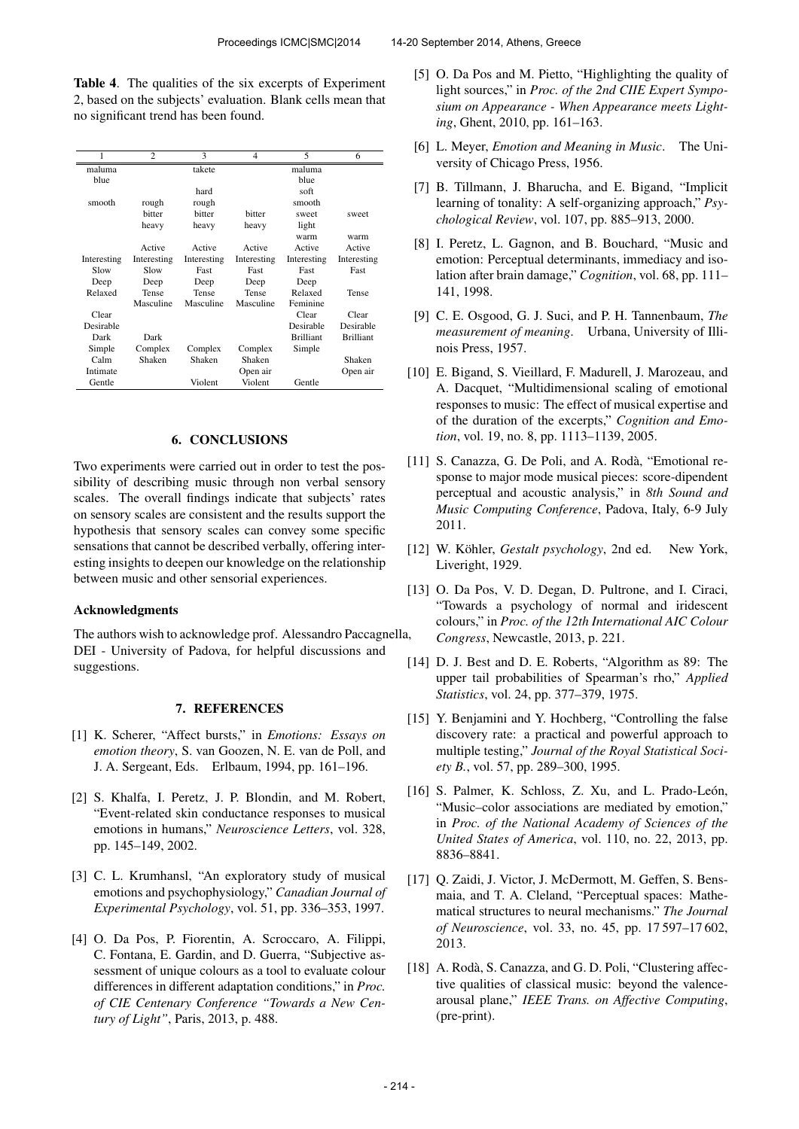Table 4. The qualities of the six excerpts of Experiment 2, based on the subjects' evaluation. Blank cells mean that no significant trend has been found.

| 1           | $\overline{c}$ | 3           | $\overline{4}$ | 5                | 6                |
|-------------|----------------|-------------|----------------|------------------|------------------|
| maluma      |                | takete      |                | maluma           |                  |
| blue        |                |             |                | <b>blue</b>      |                  |
|             |                | hard        |                | soft             |                  |
| smooth      | rough          | rough       |                | smooth           |                  |
|             | hitter         | hitter      | hitter         | sweet            | sweet            |
|             | heavy          | heavy       | heavy          | light            |                  |
|             |                |             |                | warm             | warm             |
|             | Active         | Active      | Active         | Active           | Active           |
| Interesting | Interesting    | Interesting | Interesting    | Interesting      | Interesting      |
| Slow        | Slow           | Fast        | Fast           | Fast             | Fast             |
| Deep        | Deep           | Deep        | Deep           | Deep             |                  |
| Relaxed     | Tense          | Tense       | Tense          | Relaxed          | Tense            |
|             | Masculine      | Masculine   | Masculine      | Feminine         |                  |
| Clear       |                |             |                | Clear            | Clear            |
| Desirable   |                |             |                | Desirable        | Desirable        |
| Dark        | Dark           |             |                | <b>Brilliant</b> | <b>Brilliant</b> |
| Simple      | Complex        | Complex     | Complex        | Simple           |                  |
| Calm        | Shaken         | Shaken      | Shaken         |                  | Shaken           |
| Intimate    |                |             | Open air       |                  | Open air         |
| Gentle      |                | Violent     | Violent        | Gentle           |                  |

### 6. CONCLUSIONS

Two experiments were carried out in order to test the possibility of describing music through non verbal sensory scales. The overall findings indicate that subjects' rates on sensory scales are consistent and the results support the hypothesis that sensory scales can convey some specific sensations that cannot be described verbally, offering interesting insights to deepen our knowledge on the relationship between music and other sensorial experiences.

### Acknowledgments

The authors wish to acknowledge prof. Alessandro Paccagnella, DEI - University of Padova, for helpful discussions and suggestions.

## 7. REFERENCES

- [1] K. Scherer, "Affect bursts," in *Emotions: Essays on emotion theory*, S. van Goozen, N. E. van de Poll, and J. A. Sergeant, Eds. Erlbaum, 1994, pp. 161–196.
- [2] S. Khalfa, I. Peretz, J. P. Blondin, and M. Robert, "Event-related skin conductance responses to musical emotions in humans," *Neuroscience Letters*, vol. 328, pp. 145–149, 2002.
- [3] C. L. Krumhansl, "An exploratory study of musical emotions and psychophysiology," *Canadian Journal of Experimental Psychology*, vol. 51, pp. 336–353, 1997.
- [4] O. Da Pos, P. Fiorentin, A. Scroccaro, A. Filippi, C. Fontana, E. Gardin, and D. Guerra, "Subjective assessment of unique colours as a tool to evaluate colour differences in different adaptation conditions," in *Proc. of CIE Centenary Conference "Towards a New Century of Light"*, Paris, 2013, p. 488.
- [5] O. Da Pos and M. Pietto, "Highlighting the quality of light sources," in *Proc. of the 2nd CIIE Expert Symposium on Appearance - When Appearance meets Lighting*, Ghent, 2010, pp. 161–163.
- [6] L. Meyer, *Emotion and Meaning in Music*. The University of Chicago Press, 1956.
- [7] B. Tillmann, J. Bharucha, and E. Bigand, "Implicit learning of tonality: A self-organizing approach," *Psychological Review*, vol. 107, pp. 885–913, 2000.
- [8] I. Peretz, L. Gagnon, and B. Bouchard, "Music and emotion: Perceptual determinants, immediacy and isolation after brain damage," *Cognition*, vol. 68, pp. 111– 141, 1998.
- [9] C. E. Osgood, G. J. Suci, and P. H. Tannenbaum, *The measurement of meaning*. Urbana, University of Illinois Press, 1957.
- [10] E. Bigand, S. Vieillard, F. Madurell, J. Marozeau, and A. Dacquet, "Multidimensional scaling of emotional responses to music: The effect of musical expertise and of the duration of the excerpts," *Cognition and Emotion*, vol. 19, no. 8, pp. 1113–1139, 2005.
- [11] S. Canazza, G. De Poli, and A. Rodà, "Emotional response to major mode musical pieces: score-dipendent perceptual and acoustic analysis," in *8th Sound and Music Computing Conference*, Padova, Italy, 6-9 July 2011.
- [12] W. Köhler, Gestalt psychology, 2nd ed. New York, Liveright, 1929.
- [13] O. Da Pos, V. D. Degan, D. Pultrone, and I. Ciraci, "Towards a psychology of normal and iridescent colours," in *Proc. of the 12th International AIC Colour Congress*, Newcastle, 2013, p. 221.
- [14] D. J. Best and D. E. Roberts, "Algorithm as 89: The upper tail probabilities of Spearman's rho," *Applied Statistics*, vol. 24, pp. 377–379, 1975.
- [15] Y. Benjamini and Y. Hochberg, "Controlling the false discovery rate: a practical and powerful approach to multiple testing," *Journal of the Royal Statistical Society B.*, vol. 57, pp. 289–300, 1995.
- [16] S. Palmer, K. Schloss, Z. Xu, and L. Prado-León, "Music–color associations are mediated by emotion," in *Proc. of the National Academy of Sciences of the United States of America*, vol. 110, no. 22, 2013, pp. 8836–8841.
- [17] Q. Zaidi, J. Victor, J. McDermott, M. Geffen, S. Bensmaia, and T. A. Cleland, "Perceptual spaces: Mathematical structures to neural mechanisms." *The Journal of Neuroscience*, vol. 33, no. 45, pp. 17 597–17 602, 2013.
- [18] A. Rodà, S. Canazza, and G. D. Poli, "Clustering affective qualities of classical music: beyond the valencearousal plane," *IEEE Trans. on Affective Computing*, (pre-print).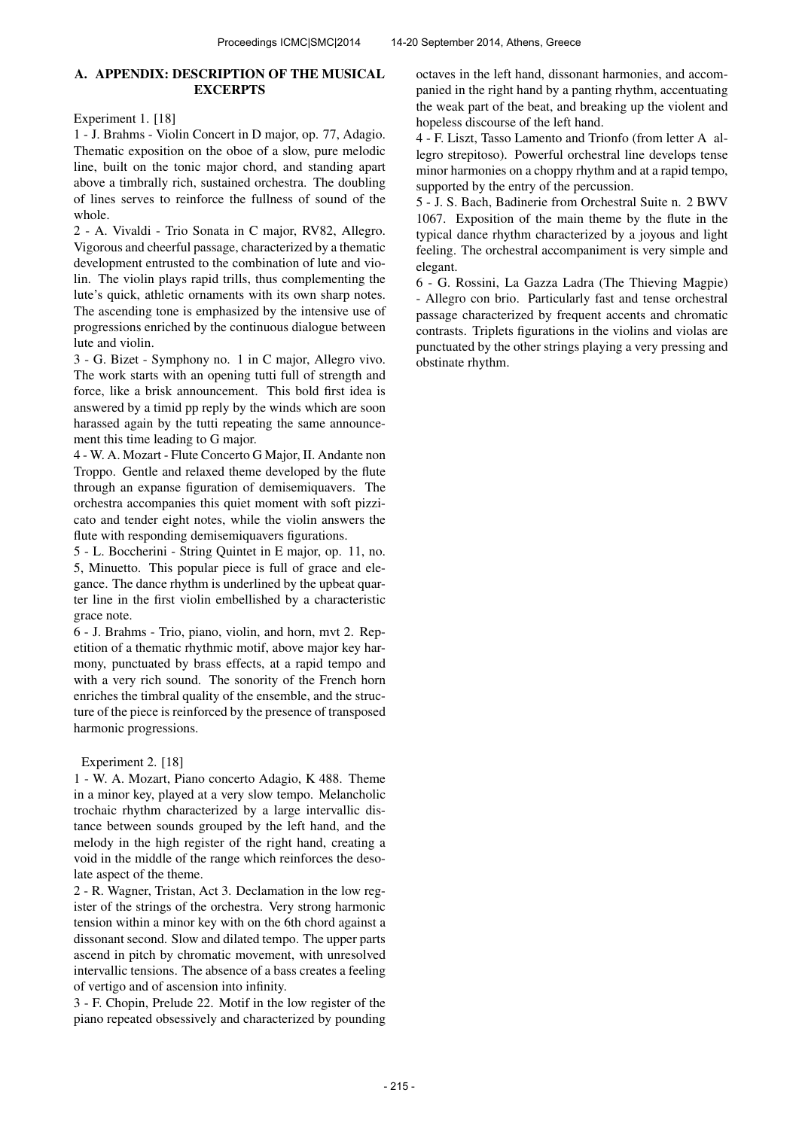### A. APPENDIX: DESCRIPTION OF THE MUSICAL **EXCERPTS**

Experiment 1. [18]

1 - J. Brahms - Violin Concert in D major, op. 77, Adagio. Thematic exposition on the oboe of a slow, pure melodic line, built on the tonic major chord, and standing apart above a timbrally rich, sustained orchestra. The doubling of lines serves to reinforce the fullness of sound of the whole.

2 - A. Vivaldi - Trio Sonata in C major, RV82, Allegro. Vigorous and cheerful passage, characterized by a thematic development entrusted to the combination of lute and violin. The violin plays rapid trills, thus complementing the lute's quick, athletic ornaments with its own sharp notes. The ascending tone is emphasized by the intensive use of progressions enriched by the continuous dialogue between lute and violin.

3 - G. Bizet - Symphony no. 1 in C major, Allegro vivo. The work starts with an opening tutti full of strength and force, like a brisk announcement. This bold first idea is answered by a timid pp reply by the winds which are soon harassed again by the tutti repeating the same announcement this time leading to G major.

4 - W. A. Mozart - Flute Concerto G Major, II. Andante non Troppo. Gentle and relaxed theme developed by the flute through an expanse figuration of demisemiquavers. The orchestra accompanies this quiet moment with soft pizzicato and tender eight notes, while the violin answers the flute with responding demisemiquavers figurations.

5 - L. Boccherini - String Quintet in E major, op. 11, no. 5, Minuetto. This popular piece is full of grace and elegance. The dance rhythm is underlined by the upbeat quarter line in the first violin embellished by a characteristic grace note.

6 - J. Brahms - Trio, piano, violin, and horn, mvt 2. Repetition of a thematic rhythmic motif, above major key harmony, punctuated by brass effects, at a rapid tempo and with a very rich sound. The sonority of the French horn enriches the timbral quality of the ensemble, and the structure of the piece is reinforced by the presence of transposed harmonic progressions.

### Experiment 2. [18]

1 - W. A. Mozart, Piano concerto Adagio, K 488. Theme in a minor key, played at a very slow tempo. Melancholic trochaic rhythm characterized by a large intervallic distance between sounds grouped by the left hand, and the melody in the high register of the right hand, creating a void in the middle of the range which reinforces the desolate aspect of the theme.

2 - R. Wagner, Tristan, Act 3. Declamation in the low register of the strings of the orchestra. Very strong harmonic tension within a minor key with on the 6th chord against a dissonant second. Slow and dilated tempo. The upper parts ascend in pitch by chromatic movement, with unresolved intervallic tensions. The absence of a bass creates a feeling of vertigo and of ascension into infinity.

3 - F. Chopin, Prelude 22. Motif in the low register of the piano repeated obsessively and characterized by pounding octaves in the left hand, dissonant harmonies, and accompanied in the right hand by a panting rhythm, accentuating the weak part of the beat, and breaking up the violent and hopeless discourse of the left hand.

4 - F. Liszt, Tasso Lamento and Trionfo (from letter A allegro strepitoso). Powerful orchestral line develops tense minor harmonies on a choppy rhythm and at a rapid tempo, supported by the entry of the percussion.

5 - J. S. Bach, Badinerie from Orchestral Suite n. 2 BWV 1067. Exposition of the main theme by the flute in the typical dance rhythm characterized by a joyous and light feeling. The orchestral accompaniment is very simple and elegant.

6 - G. Rossini, La Gazza Ladra (The Thieving Magpie) - Allegro con brio. Particularly fast and tense orchestral passage characterized by frequent accents and chromatic contrasts. Triplets figurations in the violins and violas are punctuated by the other strings playing a very pressing and obstinate rhythm.